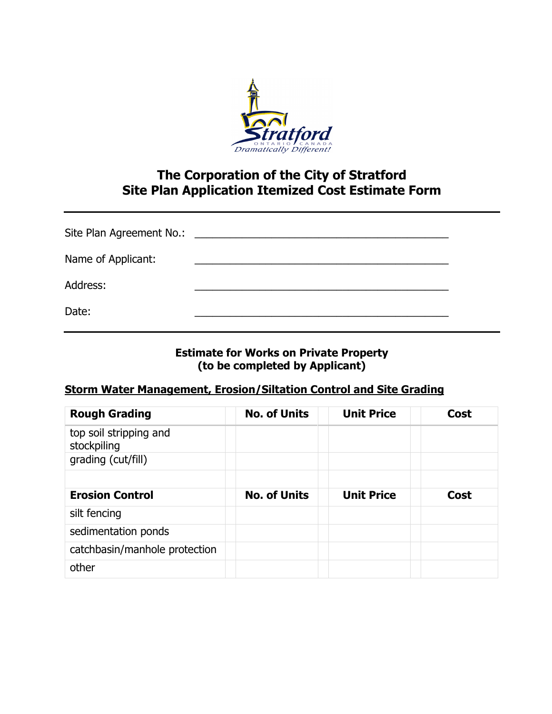

# **The Corporation of the City of Stratford Site Plan Application Itemized Cost Estimate Form**

| Name of Applicant: |  |
|--------------------|--|
| Address:           |  |
| Date:              |  |

### **Estimate for Works on Private Property (to be completed by Applicant)**

### **Storm Water Management, Erosion/Siltation Control and Site Grading**

| <b>Rough Grading</b>                  | <b>No. of Units</b> | <b>Unit Price</b> | Cost |
|---------------------------------------|---------------------|-------------------|------|
| top soil stripping and<br>stockpiling |                     |                   |      |
| grading (cut/fill)                    |                     |                   |      |
|                                       |                     |                   |      |
| <b>Erosion Control</b>                | <b>No. of Units</b> | <b>Unit Price</b> | Cost |
| silt fencing                          |                     |                   |      |
| sedimentation ponds                   |                     |                   |      |
| catchbasin/manhole protection         |                     |                   |      |
| other                                 |                     |                   |      |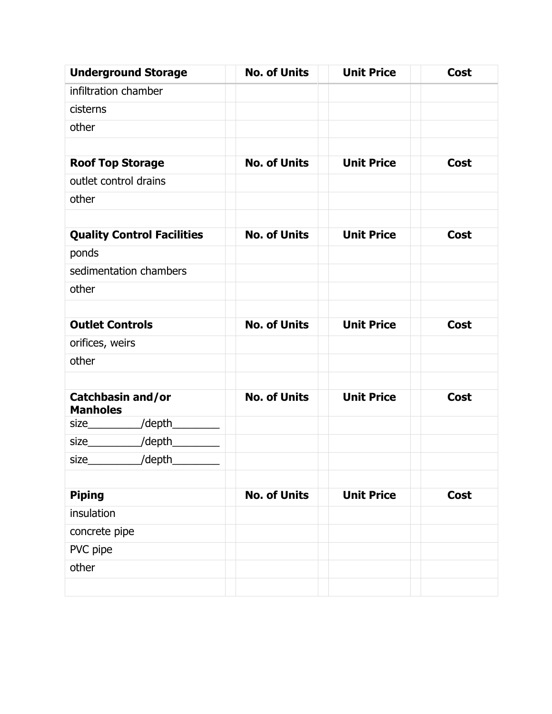| <b>Underground Storage</b>           | <b>No. of Units</b> | <b>Unit Price</b> | <b>Cost</b> |
|--------------------------------------|---------------------|-------------------|-------------|
| infiltration chamber                 |                     |                   |             |
| cisterns                             |                     |                   |             |
| other                                |                     |                   |             |
|                                      |                     |                   |             |
| <b>Roof Top Storage</b>              | <b>No. of Units</b> | <b>Unit Price</b> | <b>Cost</b> |
| outlet control drains                |                     |                   |             |
| other                                |                     |                   |             |
|                                      |                     |                   |             |
| <b>Quality Control Facilities</b>    | <b>No. of Units</b> | <b>Unit Price</b> | <b>Cost</b> |
| ponds                                |                     |                   |             |
| sedimentation chambers               |                     |                   |             |
| other                                |                     |                   |             |
|                                      |                     |                   |             |
| <b>Outlet Controls</b>               | <b>No. of Units</b> | <b>Unit Price</b> | <b>Cost</b> |
| orifices, weirs                      |                     |                   |             |
| other                                |                     |                   |             |
|                                      |                     |                   |             |
| Catchbasin and/or<br><b>Manholes</b> | <b>No. of Units</b> | <b>Unit Price</b> | <b>Cost</b> |
| size___________/depth_               |                     |                   |             |
| size____________/depth_              |                     |                   |             |
| size____________/depth_              |                     |                   |             |
|                                      |                     |                   |             |
| <b>Piping</b>                        | <b>No. of Units</b> | <b>Unit Price</b> | <b>Cost</b> |
| insulation                           |                     |                   |             |
| concrete pipe                        |                     |                   |             |
| PVC pipe                             |                     |                   |             |
| other                                |                     |                   |             |
|                                      |                     |                   |             |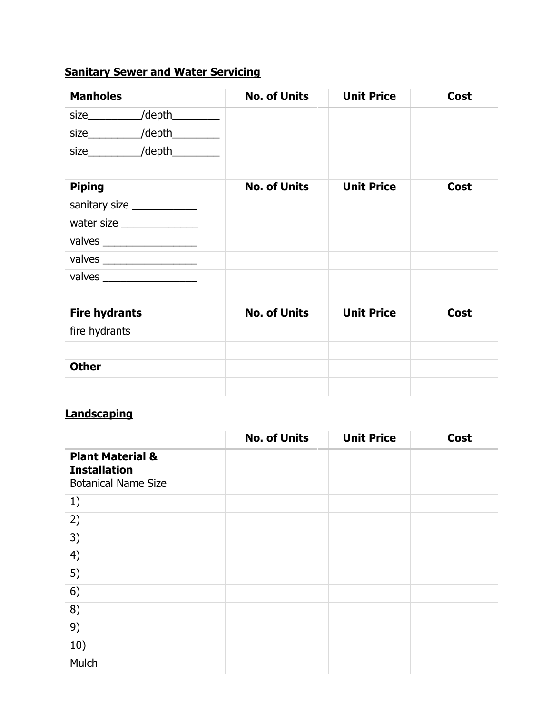## **Sanitary Sewer and Water Servicing**

| <b>Manholes</b>                 | <b>No. of Units</b> | <b>Unit Price</b> | <b>Cost</b> |
|---------------------------------|---------------------|-------------------|-------------|
| size___________/depth__________ |                     |                   |             |
| size___________/depth_________  |                     |                   |             |
| size___________/depth_________  |                     |                   |             |
|                                 |                     |                   |             |
| <b>Piping</b>                   | <b>No. of Units</b> | <b>Unit Price</b> | <b>Cost</b> |
| sanitary size ____________      |                     |                   |             |
| water size                      |                     |                   |             |
| valves ___________________      |                     |                   |             |
|                                 |                     |                   |             |
| valves $\frac{1}{2}$            |                     |                   |             |
|                                 |                     |                   |             |
| <b>Fire hydrants</b>            | <b>No. of Units</b> | <b>Unit Price</b> | <b>Cost</b> |
| fire hydrants                   |                     |                   |             |
|                                 |                     |                   |             |
| <b>Other</b>                    |                     |                   |             |
|                                 |                     |                   |             |

## **Landscaping**

|                                                    | <b>No. of Units</b> | <b>Unit Price</b> | <b>Cost</b> |
|----------------------------------------------------|---------------------|-------------------|-------------|
| <b>Plant Material &amp;</b><br><b>Installation</b> |                     |                   |             |
| <b>Botanical Name Size</b>                         |                     |                   |             |
| 1)                                                 |                     |                   |             |
| 2)                                                 |                     |                   |             |
| 3)                                                 |                     |                   |             |
| 4)                                                 |                     |                   |             |
| 5)                                                 |                     |                   |             |
| 6)                                                 |                     |                   |             |
| 8)                                                 |                     |                   |             |
| 9)                                                 |                     |                   |             |
| 10)                                                |                     |                   |             |
| Mulch                                              |                     |                   |             |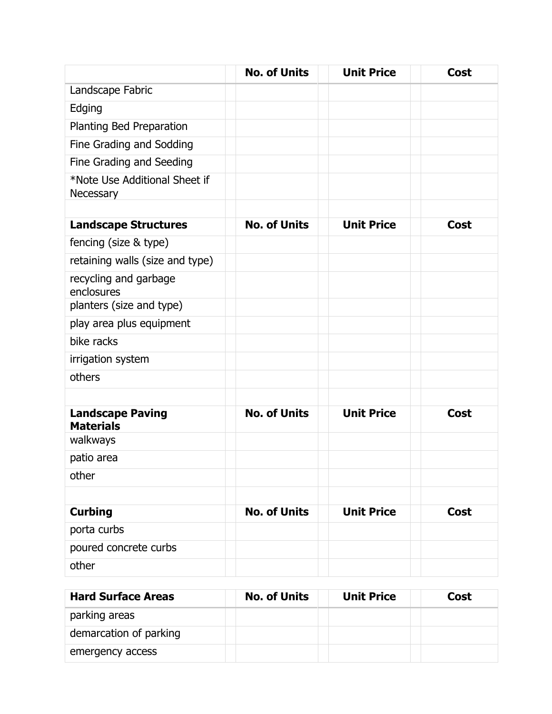|                                             | <b>No. of Units</b> | <b>Unit Price</b> | <b>Cost</b> |
|---------------------------------------------|---------------------|-------------------|-------------|
| Landscape Fabric                            |                     |                   |             |
| Edging                                      |                     |                   |             |
| Planting Bed Preparation                    |                     |                   |             |
| Fine Grading and Sodding                    |                     |                   |             |
| Fine Grading and Seeding                    |                     |                   |             |
| *Note Use Additional Sheet if<br>Necessary  |                     |                   |             |
|                                             |                     |                   |             |
| <b>Landscape Structures</b>                 | <b>No. of Units</b> | <b>Unit Price</b> | <b>Cost</b> |
| fencing (size & type)                       |                     |                   |             |
| retaining walls (size and type)             |                     |                   |             |
| recycling and garbage<br>enclosures         |                     |                   |             |
| planters (size and type)                    |                     |                   |             |
| play area plus equipment                    |                     |                   |             |
| bike racks                                  |                     |                   |             |
| irrigation system                           |                     |                   |             |
| others                                      |                     |                   |             |
|                                             |                     |                   |             |
| <b>Landscape Paving</b><br><b>Materials</b> | <b>No. of Units</b> | <b>Unit Price</b> | <b>Cost</b> |
| walkways                                    |                     |                   |             |
| patio area                                  |                     |                   |             |
| other                                       |                     |                   |             |
|                                             |                     |                   |             |
| <b>Curbing</b>                              | <b>No. of Units</b> | <b>Unit Price</b> | <b>Cost</b> |
| porta curbs                                 |                     |                   |             |
| poured concrete curbs                       |                     |                   |             |
| other                                       |                     |                   |             |

| <b>Hard Surface Areas</b> | <b>No. of Units</b> | <b>Unit Price</b> | Cost |
|---------------------------|---------------------|-------------------|------|
| parking areas             |                     |                   |      |
| demarcation of parking    |                     |                   |      |
| emergency access          |                     |                   |      |